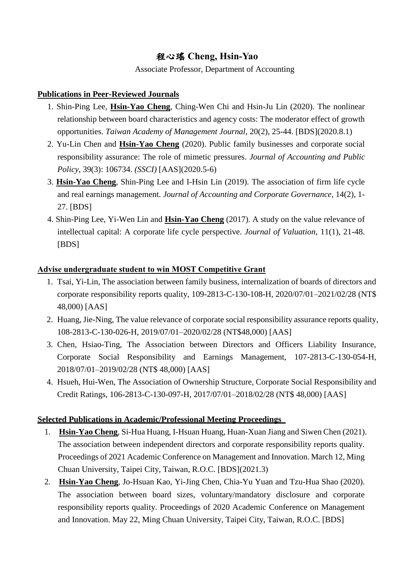## 程心瑤 **Cheng, Hsin-Yao**

Associate Professor, Department of Accounting

## **Publications in Peer-Reviewed Journals**

- 1. Shin-Ping Lee, **Hsin-Yao Cheng**, Ching-Wen Chi and Hsin-Ju Lin (2020). The nonlinear relationship between board characteristics and agency costs: The moderator effect of growth opportunities. *Taiwan Academy of Management Journal*, 20(2), 25-44. [BDS](2020.8.1)
- 2. Yu-Lin Chen and **Hsin-Yao Cheng** (2020). Public family businesses and corporate social responsibility assurance: The role of mimetic pressures. *Journal of Accounting and Public Policy*, 39(3): 106734. *(SSCI)* [AAS](2020.5-6)
- 3. **Hsin-Yao Cheng**, Shin-Ping Lee and I-Hsin Lin (2019). The association of firm life cycle and real earnings management. *Journal of Accounting and Corporate Governance*, 14(2), 1- 27. [BDS]
- 4. Shin-Ping Lee, Yi-Wen Lin and **Hsin-Yao Cheng** (2017). A study on the value relevance of intellectual capital: A corporate life cycle perspective. *Journal of Valuation*, 11(1), 21-48. [BDS]

## **Advise undergraduate student to win MOST Competitive Grant**

- 1. Tsai, Yi-Lin, The association between family business, internalization of boards of directors and corporate responsibility reports quality, 109-2813-C-130-108-H, 2020/07/01–2021/02/28 (NT\$ 48,000) [AAS]
- 2. Huang, Jie-Ning, The value relevance of corporate social responsibility assurance reports quality, 108-2813-C-130-026-H, 2019/07/01–2020/02/28 (NT\$48,000) [AAS]
- 3. Chen, Hsiao-Ting, The Association between Directors and Officers Liability Insurance, Corporate Social Responsibility and Earnings Management, 107-2813-C-130-054-H, 2018/07/01–2019/02/28 (NT\$ 48,000) [AAS]
- 4. Hsueh, Hui-Wen, The Association of Ownership Structure, Corporate Social Responsibility and Credit Ratings, 106-2813-C-130-097-H, 2017/07/01–2018/02/28 (NT\$ 48,000) [AAS]

## **Selected Publications in Academic/Professional Meeting Proceedings**

- 1. **Hsin-Yao Cheng**, Si-Hua Huang, I-Hsuan Huang, Huan-Xuan Jiang and Siwen Chen (2021). The association between independent directors and corporate responsibility reports quality. Proceedings of 2021 Academic Conference on Management and Innovation. March 12, Ming Chuan University, Taipei City, Taiwan, R.O.C. [BDS](2021.3)
- 2. **Hsin-Yao Cheng**, Jo-Hsuan Kao, Yi-Jing Chen, Chia-Yu Yuan and Tzu-Hua Shao (2020). The association between board sizes, voluntary/mandatory disclosure and corporate responsibility reports quality. Proceedings of 2020 Academic Conference on Management and Innovation. May 22, Ming Chuan University, Taipei City, Taiwan, R.O.C. [BDS]